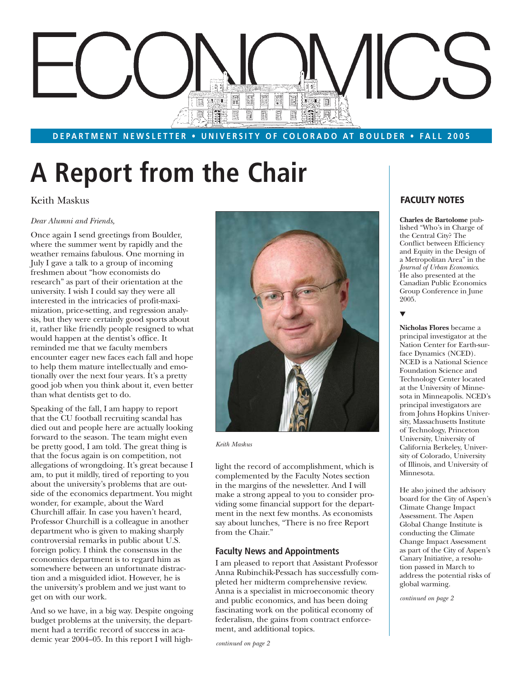# E F E **EWE** E. **BNDL** 圓  $\boxed{\Xi}$

### **DEPARTMENT NEWSLETTER • UNIVERSITY OF COLORADO AT BOULDER • FALL 2005**

# **A Report from the Chair**

# Keith Maskus

### *Dear Alumni and Friends,*

Once again I send greetings from Boulder, where the summer went by rapidly and the weather remains fabulous. One morning in July I gave a talk to a group of incoming freshmen about "how economists do research" as part of their orientation at the university. I wish I could say they were all interested in the intricacies of profit-maximization, price-setting, and regression analysis, but they were certainly good sports about it, rather like friendly people resigned to what would happen at the dentist's office. It reminded me that we faculty members encounter eager new faces each fall and hope to help them mature intellectually and emotionally over the next four years. It's a pretty good job when you think about it, even better than what dentists get to do.

Speaking of the fall, I am happy to report that the CU football recruiting scandal has died out and people here are actually looking forward to the season. The team might even be pretty good, I am told. The great thing is that the focus again is on competition, not allegations of wrongdoing. It's great because I am, to put it mildly, tired of reporting to you about the university's problems that are outside of the economics department. You might wonder, for example, about the Ward Churchill affair. In case you haven't heard, Professor Churchill is a colleague in another department who is given to making sharply controversial remarks in public about U.S. foreign policy. I think the consensus in the economics department is to regard him as somewhere between an unfortunate distraction and a misguided idiot. However, he is the university's problem and we just want to get on with our work.

And so we have, in a big way. Despite ongoing budget problems at the university, the department had a terrific record of success in academic year 2004–05. In this report I will high-



*Keith Maskus*

light the record of accomplishment, which is complemented by the Faculty Notes section in the margins of the newsletter. And I will make a strong appeal to you to consider providing some financial support for the department in the next few months. As economists say about lunches, "There is no free Report from the Chair."

### **Faculty News and Appointments**

I am pleased to report that Assistant Professor Anna Rubinchik-Pessach has successfully completed her midterm comprehensive review. Anna is a specialist in microeconomic theory and public economics, and has been doing fascinating work on the political economy of federalism, the gains from contract enforcement, and additional topics.

*continued on page 2*

# **FACULTY NOTES**

**Charles de Bartolome** published "Who's in Charge of the Central City? The Conflict between Efficiency and Equity in the Design of a Metropolitan Area" in the *Journal of Urban Economics*. He also presented at the Canadian Public Economics Group Conference in June 2005.

### ▼

**Nicholas Flores** became a principal investigator at the Nation Center for Earth-surface Dynamics (NCED). NCED is a National Science Foundation Science and Technology Center located at the University of Minnesota in Minneapolis. NCED's principal investigators are from Johns Hopkins University, Massachusetts Institute of Technology, Princeton University, University of California Berkeley, University of Colorado, University of Illinois, and University of Minnesota.

He also joined the advisory board for the City of Aspen's Climate Change Impact Assessment. The Aspen Global Change Institute is conducting the Climate Change Impact Assessment as part of the City of Aspen's Canary Initiative, a resolution passed in March to address the potential risks of global warming.

*continued on page 2*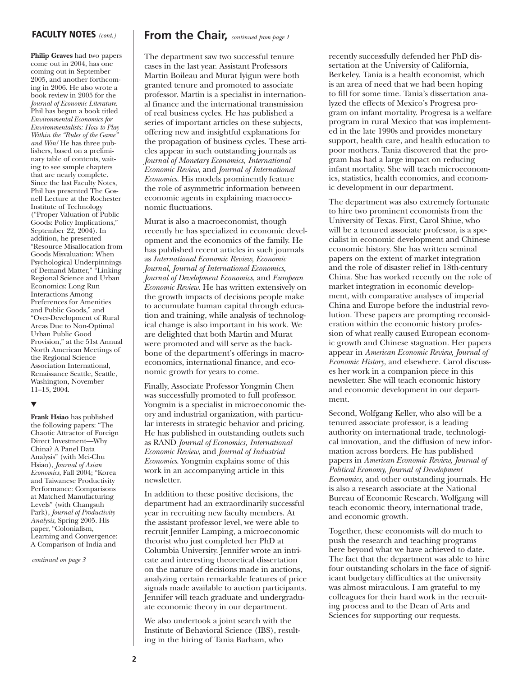### **FACULTY NOTES** *(cont.)*

**Philip Graves** had two papers come out in 2004, has one coming out in September 2005, and another forthcoming in 2006. He also wrote a book review in 2005 for the *Journal of Economic Literature*. Phil has begun a book titled *Environmental Economics for Environmentalists: How to Play Within the "Rules of the Game" and Win!* He has three publishers, based on a preliminary table of contents, waiting to see sample chapters that are nearly complete. Since the last Faculty Notes, Phil has presented The Gosnell Lecture at the Rochester Institute of Technology ("Proper Valuation of Public Goods: Policy Implications," September  $22, 2004$ ). In addition, he presented "Resource Misallocation from Goods Misvaluation: When Psychological Underpinnings of Demand Matter," "Linking Regional Science and Urban Economics: Long Run Interactions Among Preferences for Amenities and Public Goods," and "Over-Development of Rural Areas Due to Non-Optimal Urban Public Good Provision," at the 51st Annual North American Meetings of the Regional Science Association International, Renaissance Seattle, Seattle, Washington, November 11–13, 2004.

### ▼

**Frank Hsiao** has published the following papers: "The Chaotic Attractor of Foreign Direct Investment—Why China? A Panel Data Analysis" (with Mei-Chu Hsiao), *Journal of Asian Economics*, Fall 2004; "Korea and Taiwanese Productivity Performance: Comparisons at Matched Manufacturing Levels" (with Changsuh Park), *Journal of Productivity Analysis*, Spring 2005. His paper, "Colonialism, Learning and Convergence: A Comparison of India and

*continued on page 3*

# **From the Chair,** *continued from page 1*

The department saw two successful tenure cases in the last year. Assistant Professors Martin Boileau and Murat Iyigun were both granted tenure and promoted to associate professor. Martin is a specialist in international finance and the international transmission of real business cycles. He has published a series of important articles on these subjects, offering new and insightful explanations for the propagation of business cycles. These articles appear in such outstanding journals as *Journal of Monetary Economics, International Economic Review*, and *Journal of International Economics.* His models prominently feature the role of asymmetric information between economic agents in explaining macroeconomic fluctuations.

Murat is also a macroeconomist, though recently he has specialized in economic development and the economics of the family. He has published recent articles in such journals as *International Economic Review, Economic Journal, Journal of International Economics, Journal of Development Economics*, and *European Economic Review*. He has written extensively on the growth impacts of decisions people make to accumulate human capital through education and training, while analysis of technological change is also important in his work. We are delighted that both Martin and Murat were promoted and will serve as the backbone of the department's offerings in macroeconomics, international finance, and economic growth for years to come.

Finally, Associate Professor Yongmin Chen was successfully promoted to full professor. Yongmin is a specialist in microeconomic theory and industrial organization, with particular interests in strategic behavior and pricing. He has published in outstanding outlets such as RAND *Journal of Economics, International Economic Review*, and *Journal of Industrial Economics*. Yongmin explains some of this work in an accompanying article in this newsletter.

In addition to these positive decisions, the department had an extraordinarily successful year in recruiting new faculty members. At the assistant professor level, we were able to recruit Jennifer Lamping, a microeconomic theorist who just completed her PhD at Columbia University. Jennifer wrote an intricate and interesting theoretical dissertation on the nature of decisions made in auctions, analyzing certain remarkable features of price signals made available to auction participants. Jennifer will teach graduate and undergraduate economic theory in our department.

We also undertook a joint search with the Institute of Behavioral Science (IBS), resulting in the hiring of Tania Barham, who

recently successfully defended her PhD dissertation at the University of California, Berkeley. Tania is a health economist, which is an area of need that we had been hoping to fill for some time. Tania's dissertation analyzed the effects of Mexico's Progresa program on infant mortality. Progresa is a welfare program in rural Mexico that was implemented in the late 1990s and provides monetary support, health care, and health education to poor mothers. Tania discovered that the program has had a large impact on reducing infant mortality. She will teach microeconomics, statistics, health economics, and economic development in our department.

The department was also extremely fortunate to hire two prominent economists from the University of Texas. First, Carol Shiue, who will be a tenured associate professor, is a specialist in economic development and Chinese economic history. She has written seminal papers on the extent of market integration and the role of disaster relief in 18th-century China. She has worked recently on the role of market integration in economic development, with comparative analyses of imperial China and Europe before the industrial revolution. These papers are prompting reconsideration within the economic history profession of what really caused European economic growth and Chinese stagnation. Her papers appear in *American Economic Review, Journal of Economic History*, and elsewhere. Carol discusses her work in a companion piece in this newsletter. She will teach economic history and economic development in our department.

Second, Wolfgang Keller, who also will be a tenured associate professor, is a leading authority on international trade, technological innovation, and the diffusion of new information across borders. He has published papers in *American Economic Review, Journal of Political Economy, Journal of Development Economics*, and other outstanding journals. He is also a research associate at the National Bureau of Economic Research. Wolfgang will teach economic theory, international trade, and economic growth.

Together, these economists will do much to push the research and teaching programs here beyond what we have achieved to date. The fact that the department was able to hire four outstanding scholars in the face of significant budgetary difficulties at the university was almost miraculous. I am grateful to my colleagues for their hard work in the recruiting process and to the Dean of Arts and Sciences for supporting our requests.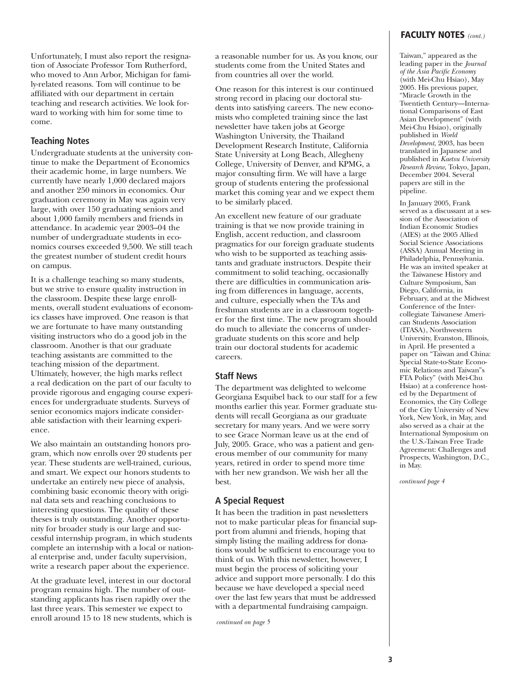Unfortunately, I must also report the resignation of Associate Professor Tom Rutherford, who moved to Ann Arbor, Michigan for family-related reasons. Tom will continue to be affiliated with our department in certain teaching and research activities. We look forward to working with him for some time to come.

### **Teaching Notes**

Undergraduate students at the university continue to make the Department of Economics their academic home, in large numbers. We currently have nearly 1,000 declared majors and another 250 minors in economics. Our graduation ceremony in May was again very large, with over 150 graduating seniors and about 1,000 family members and friends in attendance. In academic year 2003–04 the number of undergraduate students in economics courses exceeded 9,500. We still teach the greatest number of student credit hours on campus.

It is a challenge teaching so many students, but we strive to ensure quality instruction in the classroom. Despite these large enrollments, overall student evaluations of economics classes have improved. One reason is that we are fortunate to have many outstanding visiting instructors who do a good job in the classroom. Another is that our graduate teaching assistants are committed to the teaching mission of the department. Ultimately, however, the high marks reflect a real dedication on the part of our faculty to provide rigorous and engaging course experiences for undergraduate students. Surveys of senior economics majors indicate considerable satisfaction with their learning experience.

We also maintain an outstanding honors program, which now enrolls over 20 students per year. These students are well-trained, curious, and smart. We expect our honors students to undertake an entirely new piece of analysis, combining basic economic theory with original data sets and reaching conclusions to interesting questions. The quality of these theses is truly outstanding. Another opportunity for broader study is our large and successful internship program, in which students complete an internship with a local or national enterprise and, under faculty supervision, write a research paper about the experience.

At the graduate level, interest in our doctoral program remains high. The number of outstanding applicants has risen rapidly over the last three years. This semester we expect to enroll around 15 to 18 new students, which is a reasonable number for us. As you know, our students come from the United States and from countries all over the world.

One reason for this interest is our continued strong record in placing our doctoral students into satisfying careers. The new economists who completed training since the last newsletter have taken jobs at George Washington University, the Thailand Development Research Institute, California State University at Long Beach, Allegheny College, University of Denver, and KPMG, a major consulting firm. We will have a large group of students entering the professional market this coming year and we expect them to be similarly placed.

An excellent new feature of our graduate training is that we now provide training in English, accent reduction, and classroom pragmatics for our foreign graduate students who wish to be supported as teaching assistants and graduate instructors. Despite their commitment to solid teaching, occasionally there are difficulties in communication arising from differences in language, accents, and culture, especially when the TAs and freshman students are in a classroom together for the first time. The new program should do much to alleviate the concerns of undergraduate students on this score and help train our doctoral students for academic careers.

### **Staff News**

The department was delighted to welcome Georgiana Esquibel back to our staff for a few months earlier this year. Former graduate students will recall Georgiana as our graduate secretary for many years. And we were sorry to see Grace Norman leave us at the end of July, 2005. Grace, who was a patient and generous member of our community for many years, retired in order to spend more time with her new grandson. We wish her all the best.

# **A Special Request**

It has been the tradition in past newsletters not to make particular pleas for financial support from alumni and friends, hoping that simply listing the mailing address for donations would be sufficient to encourage you to think of us. With this newsletter, however, I must begin the process of soliciting your advice and support more personally. I do this because we have developed a special need over the last few years that must be addressed with a departmental fundraising campaign.

*continued on page 5*

Taiwan," appeared as the leading paper in the *Journal of the Asia Pacific Economy* (with Mei-Chu Hsiao), May 2005. His previous paper, "Miracle Growth in the Twentieth Century—International Comparisons of East Asian Development" (with Mei-Chu Hsiao), originally published in *World Development*, 2003, has been translated in Japanese and published in *Kaetsu University Research Review*, Tokyo, Japan, December 2004. Several papers are still in the pipeline.

In January 2005, Frank served as a discussant at a session of the Association of Indian Economic Studies (AIES) at the 2005 Allied Social Science Associations (ASSA) Annual Meeting in Philadelphia, Pennsylvania. He was an invited speaker at the Taiwanese History and Culture Symposium, San Diego, California, in February, and at the Midwest Conference of the Intercollegiate Taiwanese American Students Association (ITASA), Northwestern University, Evanston, Illinois, in April. He presented a paper on "Taiwan and China: Special State-to-State Economic Relations and Taiwan"s FTA Policy" (with Mei-Chu Hsiao) at a conference hosted by the Department of Economics, the City College of the City University of New York, New York, in May, and also served as a chair at the International Symposium on the U.S.-Taiwan Free Trade Agreement: Challenges and Prospects, Washington, D.C., in May.

*continued page 4*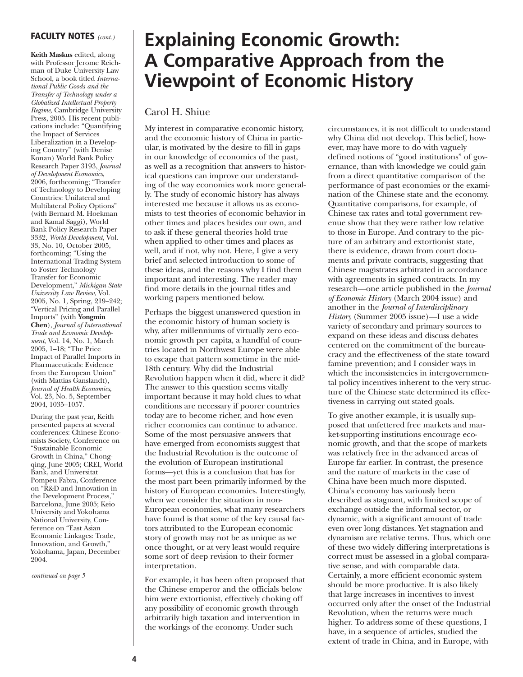## **FACULTY NOTES** *(cont.)*

**Keith Maskus** edited, along with Professor Jerome Reichman of Duke University Law School, a book titled *International Public Goods and the Transfer of Technology under a Globalized Intellectual Property Regime*, Cambridge University Press, 2005. His recent publications include: "Quantifying the Impact of Services Liberalization in a Developing Country" (with Denise Konan) World Bank Policy Research Paper 3193, *Journal of Development Economics*, 2006, forthcoming; "Transfer of Technology to Developing Countries: Unilateral and Multilateral Policy Options" (with Bernard M. Hoekman and Kamal Saggi), World Bank Policy Research Paper 3332, *World Development*, Vol. 33, No. 10, October 2005, forthcoming; "Using the International Trading System to Foster Technology Transfer for Economic Development," *Michigan State University Law Review*, Vol. 2005, No. 1, Spring, 219–242; "Vertical Pricing and Parallel Imports" (with **Yongmin Chen**), *Journal of International Trade and Economic Development*, Vol. 14, No. 1, March 2005, 1–18; "The Price Impact of Parallel Imports in Pharmaceuticals: Evidence from the European Union" (with Mattias Ganslandt), *Journal of Health Economics*, Vol. 23, No. 5, September 2004, 1035–1057.

During the past year, Keith presented papers at several conferences: Chinese Economists Society, Conference on "Sustainable Economic Growth in China," Chongqing, June 2005; CREI, World Bank, and Universitat Pompeu Fabra, Conference on "R&D and Innovation in the Development Process," Barcelona, June 2005; Keio University and Yokohama National University, Conference on "East Asian Economic Linkages: Trade, Innovation, and Growth," Yokohama, Japan, December 2004.

*continued on page 5*

# **Explaining Economic Growth: A Comparative Approach from the Viewpoint of Economic History**

### Carol H. Shiue

My interest in comparative economic history, and the economic history of China in particular, is motivated by the desire to fill in gaps in our knowledge of economics of the past, as well as a recognition that answers to historical questions can improve our understanding of the way economies work more generally. The study of economic history has always interested me because it allows us as economists to test theories of economic behavior in other times and places besides our own, and to ask if these general theories hold true when applied to other times and places as well, and if not, why not. Here, I give a very brief and selected introduction to some of these ideas, and the reasons why I find them important and interesting. The reader may find more details in the journal titles and working papers mentioned below.

Perhaps the biggest unanswered question in the economic history of human society is why, after millenniums of virtually zero economic growth per capita, a handful of countries located in Northwest Europe were able to escape that pattern sometime in the mid-18th century. Why did the Industrial Revolution happen when it did, where it did? The answer to this question seems vitally important because it may hold clues to what conditions are necessary if poorer countries today are to become richer, and how even richer economies can continue to advance. Some of the most persuasive answers that have emerged from economists suggest that the Industrial Revolution is the outcome of the evolution of European institutional forms—yet this is a conclusion that has for the most part been primarily informed by the history of European economies. Interestingly, when we consider the situation in non-European economies, what many researchers have found is that some of the key causal factors attributed to the European economic story of growth may not be as unique as we once thought, or at very least would require some sort of deep revision to their former interpretation.

For example, it has been often proposed that the Chinese emperor and the officials below him were extortionist, effectively choking off any possibility of economic growth through arbitrarily high taxation and intervention in the workings of the economy. Under such

circumstances, it is not difficult to understand why China did not develop. This belief, however, may have more to do with vaguely defined notions of "good institutions" of governance, than with knowledge we could gain from a direct quantitative comparison of the performance of past economies or the examination of the Chinese state and the economy. Quantitative comparisons, for example, of Chinese tax rates and total government revenue show that they were rather low relative to those in Europe. And contrary to the picture of an arbitrary and extortionist state, there is evidence, drawn from court documents and private contracts, suggesting that Chinese magistrates arbitrated in accordance with agreements in signed contracts. In my research—one article published in the *Journal of Economic History* (March 2004 issue) and another in the *Journal of Interdisciplinary History* (Summer 2005 issue)—I use a wide variety of secondary and primary sources to expand on these ideas and discuss debates centered on the commitment of the bureaucracy and the effectiveness of the state toward famine prevention; and I consider ways in which the inconsistencies in intergovernmental policy incentives inherent to the very structure of the Chinese state determined its effectiveness in carrying out stated goals.

To give another example, it is usually supposed that unfettered free markets and market-supporting institutions encourage economic growth, and that the scope of markets was relatively free in the advanced areas of Europe far earlier. In contrast, the presence and the nature of markets in the case of China have been much more disputed. China's economy has variously been described as stagnant, with limited scope of exchange outside the informal sector, or dynamic, with a significant amount of trade even over long distances. Yet stagnation and dynamism are relative terms. Thus, which one of these two widely differing interpretations is correct must be assessed in a global comparative sense, and with comparable data. Certainly, a more efficient economic system should be more productive. It is also likely that large increases in incentives to invest occurred only after the onset of the Industrial Revolution, when the returns were much higher. To address some of these questions, I have, in a sequence of articles, studied the extent of trade in China, and in Europe, with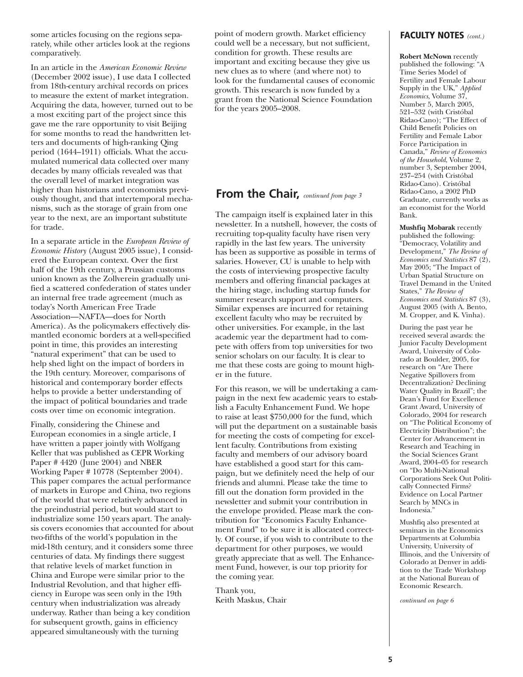some articles focusing on the regions separately, while other articles look at the regions comparatively.

In an article in the *American Economic Review* (December 2002 issue), I use data I collected from 18th-century archival records on prices to measure the extent of market integration. Acquiring the data, however, turned out to be a most exciting part of the project since this gave me the rare opportunity to visit Beijing for some months to read the handwritten letters and documents of high-ranking Qing period (1644–1911) officials. What the accumulated numerical data collected over many decades by many officials revealed was that the overall level of market integration was higher than historians and economists previously thought, and that intertemporal mechanisms, such as the storage of grain from one year to the next, are an important substitute for trade.

In a separate article in the *European Review of Economic History* (August 2005 issue), I considered the European context. Over the first half of the 19th century, a Prussian customs union known as the Zollverein gradually unified a scattered confederation of states under an internal free trade agreement (much as today's North American Free Trade Association—NAFTA—does for North America). As the policymakers effectively dismantled economic borders at a well-specified point in time, this provides an interesting "natural experiment" that can be used to help shed light on the impact of borders in the 19th century. Moreover, comparisons of historical and contemporary border effects helps to provide a better understanding of the impact of political boundaries and trade costs over time on economic integration.

Finally, considering the Chinese and European economies in a single article, I have written a paper jointly with Wolfgang Keller that was published as CEPR Working Paper # 4420 (June 2004) and NBER Working Paper # 10778 (September 2004). This paper compares the actual performance of markets in Europe and China, two regions of the world that were relatively advanced in the preindustrial period, but would start to industrialize some 150 years apart. The analysis covers economies that accounted for about two-fifths of the world's population in the mid-18th century, and it considers some three centuries of data. My findings there suggest that relative levels of market function in China and Europe were similar prior to the Industrial Revolution, and that higher efficiency in Europe was seen only in the 19th century when industrialization was already underway. Rather than being a key condition for subsequent growth, gains in efficiency appeared simultaneously with the turning

point of modern growth. Market efficiency could well be a necessary, but not sufficient, condition for growth. These results are important and exciting because they give us new clues as to where (and where not) to look for the fundamental causes of economic growth. This research is now funded by a grant from the National Science Foundation for the years 2005–2008.

# **From the Chair,** *continued from page 3*

The campaign itself is explained later in this newsletter. In a nutshell, however, the costs of recruiting top-quality faculty have risen very rapidly in the last few years. The university has been as supportive as possible in terms of salaries. However, CU is unable to help with the costs of interviewing prospective faculty members and offering financial packages at the hiring stage, including startup funds for summer research support and computers. Similar expenses are incurred for retaining excellent faculty who may be recruited by other universities. For example, in the last academic year the department had to compete with offers from top universities for two senior scholars on our faculty. It is clear to me that these costs are going to mount higher in the future.

For this reason, we will be undertaking a campaign in the next few academic years to establish a Faculty Enhancement Fund. We hope to raise at least \$750,000 for the fund, which will put the department on a sustainable basis for meeting the costs of competing for excellent faculty. Contributions from existing faculty and members of our advisory board have established a good start for this campaign, but we definitely need the help of our friends and alumni. Please take the time to fill out the donation form provided in the newsletter and submit your contribution in the envelope provided. Please mark the contribution for "Economics Faculty Enhancement Fund" to be sure it is allocated correctly. Of course, if you wish to contribute to the department for other purposes, we would greatly appreciate that as well. The Enhancement Fund, however, is our top priority for the coming year.

Thank you, Keith Maskus, Chair

### **FACULTY NOTES** *(cont.)*

**Robert McNown** recently published the following: "A Time Series Model of Fertility and Female Labour Supply in the UK," *Applied Economics*, Volume 37, Number 5, March 2005, 521–532 (with Cristóbal Ridao-Cano); "The Effect of Child Benefit Policies on Fertility and Female Labor Force Participation in Canada," *Review of Economics of the Household*, Volume 2, number 3, September 2004, 237–254 (with Cristóbal Ridao-Cano). Cristóbal Ridao-Cano, a 2002 PhD Graduate, currently works as an economist for the World Bank.

**Mushfiq Mobarak** recently published the following: "Democracy, Volatility and Development," *The Review of Economics and Statistics* 87 (2), May 2005; "The Impact of Urban Spatial Structure on Travel Demand in the United States," *The Review of Economics and Statistics* 87 (3), August 2005 (with A. Bento, M. Cropper, and K. Vinha).

During the past year he received several awards: the Junior Faculty Development Award, University of Colorado at Boulder, 2005, for research on "Are There Negative Spillovers from Decentralization? Declining Water Quality in Brazil"; the Dean's Fund for Excellence Grant Award, University of Colorado, 2004 for research on "The Political Economy of Electricity Distribution"; the Center for Advancement in Research and Teaching in the Social Sciences Grant Award, 2004–05 for research on "Do Multi-National Corporations Seek Out Politically Connected Firms? Evidence on Local Partner Search by MNCs in Indonesia."

Mushfiq also presented at seminars in the Economics Departments at Columbia University, University of Illinois, and the University of Colorado at Denver in addition to the Trade Workshop at the National Bureau of Economic Research.

*continued on page 6*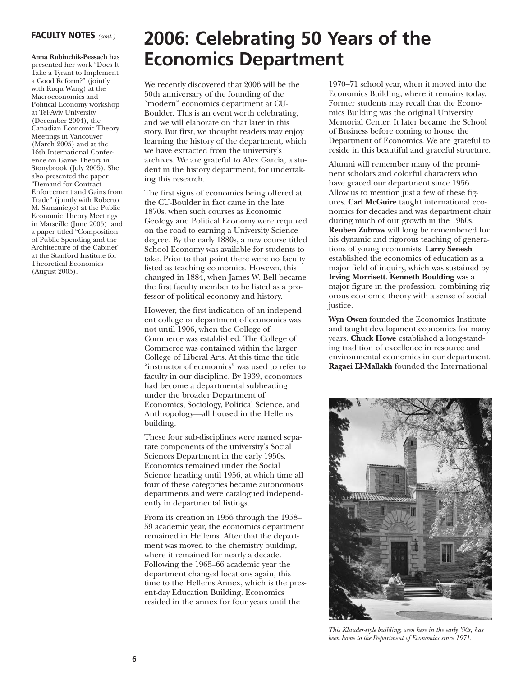**Anna Rubinchik-Pessach** has presented her work "Does It Take a Tyrant to Implement a Good Reform?" (jointly with Ruqu Wang) at the Macroeconomics and Political Economy workshop at Tel-Aviv University (December 2004), the Canadian Economic Theory Meetings in Vancouver (March 2005) and at the 16th International Conference on Game Theory in Stonybrook (July 2005). She also presented the paper "Demand for Contract Enforcement and Gains from Trade" (jointly with Roberto M. Samaniego) at the Public Economic Theory Meetings in Marseille (June 2005) and a paper titled "Composition of Public Spending and the Architecture of the Cabinet" at the Stanford Institute for Theoretical Economics (August 2005).

# **FACULTY NOTES** *(cont.)* **2006: Celebrating 50 Years of the Economics Department**

We recently discovered that 2006 will be the 50th anniversary of the founding of the "modern" economics department at CU-Boulder. This is an event worth celebrating, and we will elaborate on that later in this story. But first, we thought readers may enjoy learning the history of the department, which we have extracted from the university's archives. We are grateful to Alex Garcia, a student in the history department, for undertaking this research.

The first signs of economics being offered at the CU-Boulder in fact came in the late 1870s, when such courses as Economic Geology and Political Economy were required on the road to earning a University Science degree. By the early 1880s, a new course titled School Economy was available for students to take. Prior to that point there were no faculty listed as teaching economics. However, this changed in 1884, when James W. Bell became the first faculty member to be listed as a professor of political economy and history.

However, the first indication of an independent college or department of economics was not until 1906, when the College of Commerce was established. The College of Commerce was contained within the larger College of Liberal Arts. At this time the title "instructor of economics" was used to refer to faculty in our discipline. By 1939, economics had become a departmental subheading under the broader Department of Economics, Sociology, Political Science, and Anthropology—all housed in the Hellems building.

These four sub-disciplines were named separate components of the university's Social Sciences Department in the early 1950s. Economics remained under the Social Science heading until 1956, at which time all four of these categories became autonomous departments and were catalogued independently in departmental listings.

From its creation in 1956 through the 1958– 59 academic year, the economics department remained in Hellems. After that the department was moved to the chemistry building, where it remained for nearly a decade. Following the 1965–66 academic year the department changed locations again, this time to the Hellems Annex, which is the present-day Education Building. Economics resided in the annex for four years until the

1970–71 school year, when it moved into the Economics Building, where it remains today. Former students may recall that the Economics Building was the original University Memorial Center. It later became the School of Business before coming to house the Department of Economics. We are grateful to reside in this beautiful and graceful structure.

Alumni will remember many of the prominent scholars and colorful characters who have graced our department since 1956. Allow us to mention just a few of these figures. **Carl McGuire** taught international economics for decades and was department chair during much of our growth in the 1960s. **Reuben Zubrow** will long be remembered for his dynamic and rigorous teaching of generations of young economists. **Larry Senesh** established the economics of education as a major field of inquiry, which was sustained by **Irving Morrisett**. **Kenneth Boulding** was a major figure in the profession, combining rigorous economic theory with a sense of social justice.

**Wyn Owen** founded the Economics Institute and taught development economics for many years. **Chuck Howe** established a long-standing tradition of excellence in resource and environmental economics in our department. **Ragaei El-Mallakh** founded the International



*This Klauder-style building, seen here in the early '90s, has been home to the Department of Economics since 1971.*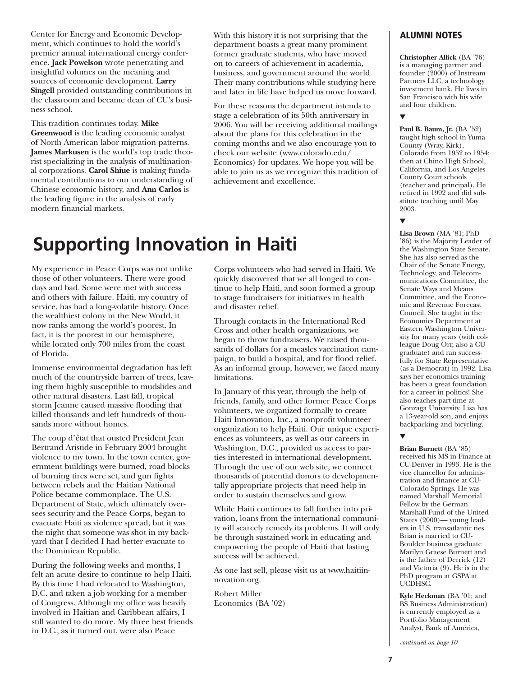Center for Energy and Economic Development, which continues to hold the world's premier annual international energy conference. **Jack Powelson** wrote penetrating and insightful volumes on the meaning and sources of economic development. **Larry Singell** provided outstanding contributions in the classroom and became dean of CU's business school.

This tradition continues today. **Mike Greenwood** is the leading economic analyst of North American labor migration patterns. **James Markusen** is the world's top trade theorist specializing in the analysis of multinational corporations. **Carol Shiue** is making fundamental contributions to our understanding of Chinese economic history, and **Ann Carlos** is the leading figure in the analysis of early modern financial markets.

With this history it is not surprising that the department boasts a great many prominent former graduate students, who have moved on to careers of achievement in academia, business, and government around the world. Their many contributions while studying here and later in life have helped us move forward.

For these reasons the department intends to stage a celebration of its 50th anniversary in 2006. You will be receiving additional mailings about the plans for this celebration in the coming months and we also encourage you to check our website (www.colorado.edu/ Economics) for updates. We hope you will be able to join us as we recognize this tradition of achievement and excellence.

# **Supporting Innovation in Haiti**

My experience in Peace Corps was not unlike those of other volunteers. There were good days and bad. Some were met with success and others with failure. Haiti, my country of service, has had a long-volatile history. Once the wealthiest colony in the New World, it now ranks among the world's poorest. In fact, it is the poorest in our hemisphere, while located only 700 miles from the coast of Florida.

Immense environmental degradation has left much of the countryside barren of trees, leaving them highly susceptible to mudslides and other natural disasters. Last fall, tropical storm Jeanne caused massive flooding that killed thousands and left hundreds of thousands more without homes.

The coup d'état that ousted President Jean Bertrand Aristide in February 2004 brought violence to my town. In the town center, government buildings were burned, road blocks of burning tires were set, and gun fights between rebels and the Haitian National Police became commonplace. The U.S. Department of State, which ultimately oversees security and the Peace Corps, began to evacuate Haiti as violence spread, but it was the night that someone was shot in my backyard that I decided I had better evacuate to the Dominican Republic.

During the following weeks and months, I felt an acute desire to continue to help Haiti. By this time I had relocated to Washington, D.C. and taken a job working for a member of Congress. Although my office was heavily involved in Haitian and Caribbean affairs, I still wanted to do more. My three best friends in D.C., as it turned out, were also Peace

Corps volunteers who had served in Haiti. We quickly discovered that we all longed to continue to help Haiti, and soon formed a group to stage fundraisers for initiatives in health and disaster relief.

Through contacts in the International Red Cross and other health organizations, we began to throw fundraisers. We raised thousands of dollars for a measles vaccination campaign, to build a hospital, and for flood relief. As an informal group, however, we faced many limitations.

In January of this year, through the help of friends, family, and other former Peace Corps volunteers, we organized formally to create Haiti Innovation, Inc., a nonprofit volunteer organization to help Haiti. Our unique experiences as volunteers, as well as our careers in Washington, D.C., provided us access to parties interested in international development. Through the use of our web site, we connect thousands of potential donors to developmentally appropriate projects that need help in order to sustain themselves and grow.

While Haiti continues to fall further into privation, loans from the international community will scarcely remedy its problems. It will only be through sustained work in educating and empowering the people of Haiti that lasting success will be achieved.

As one last sell, please visit us at www.haitiinnovation.org.

Robert Miller Economics (BA '02)

# **ALUMNI NOTES**

**Christopher Allick** (BA '76) is a managing partner and founder  $(2000)$  of Instream Partners LLC, a technology investment bank. He lives in San Francisco with his wife and four children.

### ▼

**Paul B. Baum, Jr.** (BA '52) taught high school in Yuma County (Wray, Kirk), Colorado from 1952 to 1954; then at Chino High School, California, and Los Angeles County Court schools (teacher and principal). He retired in 1992 and did substitute teaching until May 2003.

### ▼

**Lisa Brown** (MA '81; PhD '86) is the Majority Leader of the Washington State Senate. She has also served as the Chair of the Senate Energy, Technology, and Telecommunications Committee, the Senate Ways and Means Committee, and the Economic and Revenue Forecast Council. She taught in the Economics Department at Eastern Washington University for many years (with colleague Doug Orr, also a CU graduate) and ran successfully for State Representative (as a Democrat) in 1992. Lisa says her economics training has been a great foundation for a career in politics! She also teaches part-time at Gonzaga University. Lisa has a 13-year-old son, and enjoys backpacking and bicycling.

### ▼

**Brian Burnett** (BA '85) received his MS in Finance at CU-Denver in 1993. He is the vice chancellor for administration and finance at CU-Colorado Springs. He was named Marshall Memorial Fellow by the German Marshall Fund of the United States (2000)— young leaders in U.S. transatlantic ties. Brian is married to CU-Boulder business graduate Marilyn Graese Burnett and is the father of Derrick (12) and Victoria (9). He is in the PhD program at GSPA at UCDHSC.

**Kyle Heckman** (BA '01; and BS Business Administration) is currently employed as a Portfolio Management Analyst, Bank of America,

*continued on page 10*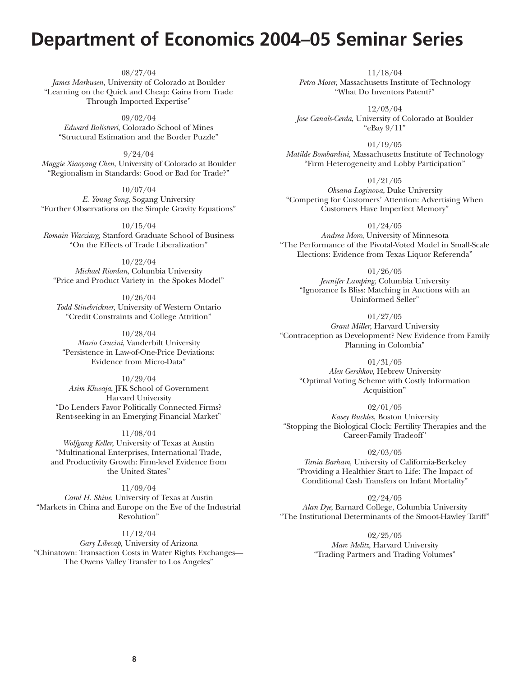# **Department of Economics 2004–05 Seminar Series**

08/27/04 *James Markusen,* University of Colorado at Boulder "Learning on the Quick and Cheap: Gains from Trade Through Imported Expertise"

09/02/04 *Edward Balistreri*, Colorado School of Mines "Structural Estimation and the Border Puzzle"

9/24/04 *Maggie Xiaoyang Chen*, University of Colorado at Boulder "Regionalism in Standards: Good or Bad for Trade?"

10/07/04 *E. Young Song*, Sogang University "Further Observations on the Simple Gravity Equations"

10/15/04 *Romain Wacziarg*, Stanford Graduate School of Business "On the Effects of Trade Liberalization"

10/22/04 *Michael Riordan*, Columbia University "Price and Product Variety in the Spokes Model"

10/26/04 *Todd Stinebrickner*, University of Western Ontario "Credit Constraints and College Attrition"

10/28/04 *Mario Crucini*, Vanderbilt University "Persistence in Law-of-One-Price Deviations: Evidence from Micro-Data"

10/29/04 *Asim Khwaja*, JFK School of Government Harvard University "Do Lenders Favor Politically Connected Firms? Rent-seeking in an Emerging Financial Market"

11/08/04 *Wolfgang Keller*, University of Texas at Austin "Multinational Enterprises, International Trade, and Productivity Growth: Firm-level Evidence from the United States"

11/09/04 *Carol H. Shiue*, University of Texas at Austin "Markets in China and Europe on the Eve of the Industrial Revolution"

11/12/04 *Gary Libecap*, University of Arizona "Chinatown: Transaction Costs in Water Rights Exchanges— The Owens Valley Transfer to Los Angeles"

11/18/04 *Petra Moser*, Massachusetts Institute of Technology "What Do Inventors Patent?"

12/03/04 *Jose Canals-Cerda*, University of Colorado at Boulder "eBay 9/11"

01/19/05 *Matilde Bombardini,* Massachusetts Institute of Technology "Firm Heterogeneity and Lobby Participation"

01/21/05 *Oksana Loginova*, Duke University "Competing for Customers' Attention: Advertising When Customers Have Imperfect Memory"

01/24/05 *Andrea Moro*, University of Minnesota "The Performance of the Pivotal-Voted Model in Small-Scale Elections: Evidence from Texas Liquor Referenda"

01/26/05 *Jennifer Lamping*, Columbia University "Ignorance Is Bliss: Matching in Auctions with an Uninformed Seller"

01/27/05 *Grant Miller*, Harvard University "Contraception as Development? New Evidence from Family Planning in Colombia"

01/31/05 *Alex Gershkov*, Hebrew University "Optimal Voting Scheme with Costly Information Acquisition"

02/01/05 *Kasey Buckles*, Boston University "Stopping the Biological Clock: Fertility Therapies and the Career-Family Tradeoff"

02/03/05 *Tania Barham*, University of California-Berkeley "Providing a Healthier Start to Life: The Impact of Conditional Cash Transfers on Infant Mortality"

02/24/05 *Alan Dye*, Barnard College, Columbia University "The Institutional Determinants of the Smoot-Hawley Tariff"

> 02/25/05 *Marc Melitz*, Harvard University "Trading Partners and Trading Volumes"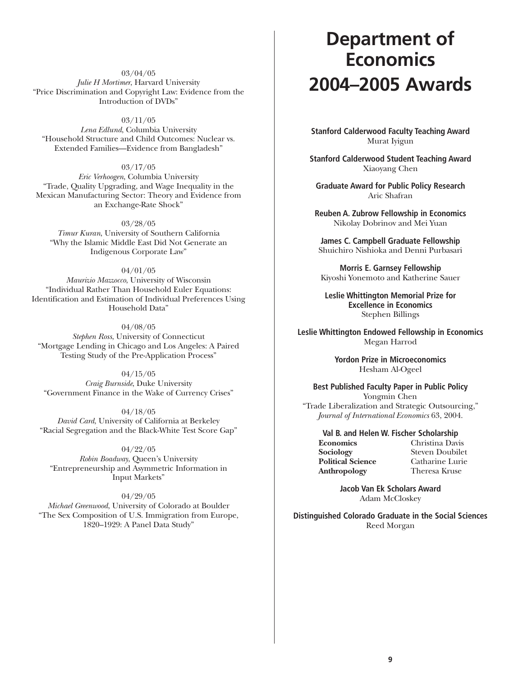03/04/05 *Julie H Mortimer*, Harvard University "Price Discrimination and Copyright Law: Evidence from the Introduction of DVDs"

03/11/05

*Lena Edlund*, Columbia University "Household Structure and Child Outcomes: Nuclear vs. Extended Families—Evidence from Bangladesh"

03/17/05 *Eric Verhoogen*, Columbia University "Trade, Quality Upgrading, and Wage Inequality in the Mexican Manufacturing Sector: Theory and Evidence from an Exchange-Rate Shock"

03/28/05 *Timur Kuran*, University of Southern California "Why the Islamic Middle East Did Not Generate an Indigenous Corporate Law"

04/01/05 *Maurizio Mazzocco*, University of Wisconsin "Individual Rather Than Household Euler Equations: Identification and Estimation of Individual Preferences Using Household Data"

04/08/05 *Stephen Ross*, University of Connecticut "Mortgage Lending in Chicago and Los Angeles: A Paired Testing Study of the Pre-Application Process"

04/15/05 *Craig Burnside*, Duke University "Government Finance in the Wake of Currency Crises"

04/18/05 *David Card*, University of California at Berkeley "Racial Segregation and the Black-White Test Score Gap"

04/22/05 *Robin Boadway*, Queen's University "Entrepreneurship and Asymmetric Information in Input Markets"

04/29/05 *Michael Greenwood*, University of Colorado at Boulder "The Sex Composition of U.S. Immigration from Europe, 1820–1929: A Panel Data Study"

# **Department of Economics 2004–2005 Awards**

**Stanford Calderwood Faculty Teaching Award** Murat Iyigun

**Stanford Calderwood Student Teaching Award** Xiaoyang Chen

**Graduate Award for Public Policy Research** Aric Shafran

**Reuben A. Zubrow Fellowship in Economics** Nikolay Dobrinov and Mei Yuan

**James C. Campbell Graduate Fellowship** Shuichiro Nishioka and Denni Purbasari

**Morris E. Garnsey Fellowship** Kiyoshi Yonemoto and Katherine Sauer

**Leslie Whittington Memorial Prize for Excellence in Economics** Stephen Billings

**Leslie Whittington Endowed Fellowship in Economics** Megan Harrod

> **Yordon Prize in Microeconomics** Hesham Al-Ogeel

**Best Published Faculty Paper in Public Policy** Yongmin Chen "Trade Liberalization and Strategic Outsourcing," *Journal of International Economics* 63, 2004.

**Val B. and Helen W. Fischer Scholarship**

**Political Science** 

**Economics** Christina Davis **Steven Doubilet**<br>Catharine Lurie **Anthropology** Theresa Kruse

> **Jacob Van Ek Scholars Award** Adam McCloskey

**Distinguished Colorado Graduate in the Social Sciences** Reed Morgan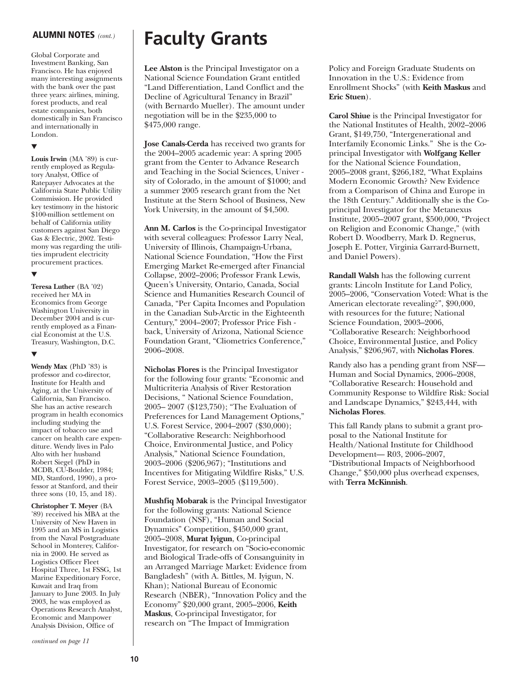Global Corporate and Investment Banking, San Francisco. He has enjoyed many interesting assignments with the bank over the past three years: airlines, mining, forest products, and real estate companies, both domestically in San Francisco and internationally in London.

#### ▼

**Louis Irwin** (MA '89) is currently employed as Regulatory Analyst, Office of Ratepayer Advocates at the California State Public Utility Commission. He provided key testimony in the historic \$100-million settlement on behalf of California utility customers against San Diego Gas & Electric, 2002. Testimony was regarding the utilities imprudent electricity procurement practices.

#### ▼

**Teresa Luther** (BA '02) received her MA in Economics from George Washington University in December 2004 and is currently employed as a Financial Economist at the U.S. Treasury, Washington, D.C.

#### ▼

**Wendy Max** (PhD '83) is professor and co-director, Institute for Health and Aging, at the University of California, San Francisco. She has an active research program in health economics including studying the impact of tobacco use and cancer on health care expenditure. Wendy lives in Palo Alto with her husband Robert Siegel (PhD in MCDB, CU-Boulder, 1984; MD, Stanford, 1990), a professor at Stanford, and their three sons (10, 15, and 18).

**Christopher T. Meyer** (BA '89) received his MBA at the University of New Haven in 1995 and an MS in Logistics from the Naval Postgraduate School in Monterey, California in 2000. He served as Logistics Officer Fleet Hospital Three, 1st FSSG, 1st Marine Expeditionary Force, Kuwait and Iraq from January to June 2003. In July 2003, he was employed as Operations Research Analyst, Economic and Manpower Analysis Division, Office of

*continued on page 11*

# **ALUMNI NOTES** *(cont.)* **Faculty Grants**

**Lee Alston** is the Principal Investigator on a National Science Foundation Grant entitled "Land Differentiation, Land Conflict and the Decline of Agricultural Tenancy in Brazil" (with Bernardo Mueller). The amount under negotiation will be in the \$235,000 to \$475,000 range.

**Jose Canals-Cerda** has received two grants for the 2004–2005 academic year: A spring 2005 grant from the Center to Advance Research and Teaching in the Social Sciences, Univer sity of Colorado, in the amount of \$1000; and a summer 2005 research grant from the Net Institute at the Stern School of Business, New York University, in the amount of \$4,500.

**Ann M. Carlos** is the Co-principal Investigator with several colleagues: Professor Larry Neal, University of Illinois, Champaign-Urbana, National Science Foundation, "How the First Emerging Market Re-emerged after Financial Collapse, 2002–2006; Professor Frank Lewis, Queen's University, Ontario, Canada, Social Science and Humanities Research Council of Canada, "Per Capita Incomes and Population in the Canadian Sub-Arctic in the Eighteenth Century," 2004–2007; Professor Price Fish back, University of Arizona, National Science Foundation Grant, "Cliometrics Conference," 2006–2008.

**Nicholas Flores** is the Principal Investigator for the following four grants: "Economic and Multicriteria Analysis of River Restoration Decisions, " National Science Foundation, 2005– 2007 (\$123,750); "The Evaluation of Preferences for Land Management Options," U.S. Forest Service, 2004–2007 (\$30,000); "Collaborative Research: Neighborhood Choice, Environmental Justice, and Policy Analysis," National Science Foundation, 2003–2006 (\$206,967); "Institutions and Incentives for Mitigating Wildfire Risks," U.S. Forest Service, 2003–2005 (\$119,500).

**Mushfiq Mobarak** is the Principal Investigator for the following grants: National Science Foundation (NSF), "Human and Social Dynamics" Competition, \$450,000 grant, 2005–2008, **Murat Iyigun**, Co-principal Investigator, for research on "Socio-economic and Biological Trade-offs of Consanguinity in an Arranged Marriage Market: Evidence from Bangladesh" (with A. Bittles, M. Iyigun, N. Khan); National Bureau of Economic Research (NBER), "Innovation Policy and the Economy" \$20,000 grant, 2005–2006, **Keith Maskus**, Co-principal Investigator, for research on "The Impact of Immigration

Policy and Foreign Graduate Students on Innovation in the U.S.: Evidence from Enrollment Shocks" (with **Keith Maskus** and **Eric Stuen**).

**Carol Shiue** is the Principal Investigator for the National Institutes of Health, 2002–2006 Grant, \$149,750, "Intergenerational and Interfamily Economic Links." She is the Coprincipal Investigator with **Wolfgang Keller** for the National Science Foundation, 2005–2008 grant, \$266,182, "What Explains Modern Economic Growth? New Evidence from a Comparison of China and Europe in the 18th Century." Additionally she is the Coprincipal Investigator for the Metanexus Institute, 2005–2007 grant, \$500,000, "Project on Religion and Economic Change," (with Robert D. Woodberry, Mark D. Regnerus, Joseph E. Potter, Virginia Garrard-Burnett, and Daniel Powers).

**Randall Walsh** has the following current grants: Lincoln Institute for Land Policy, 2005–2006, "Conservation Voted: What is the American electorate revealing?", \$90,000, with resources for the future; National Science Foundation, 2003–2006, "Collaborative Research: Neighborhood Choice, Environmental Justice, and Policy Analysis," \$206,967, with **Nicholas Flores**.

Randy also has a pending grant from NSF— Human and Social Dynamics, 2006–2008, "Collaborative Research: Household and Community Response to Wildfire Risk: Social and Landscape Dynamics," \$243,444, with **Nicholas Flores**.

This fall Randy plans to submit a grant proposal to the National Institute for Health/National Institute for Childhood Development— R03, 2006–2007, "Distributional Impacts of Neighborhood Change," \$50,000 plus overhead expenses, with **Terra McKinnish**.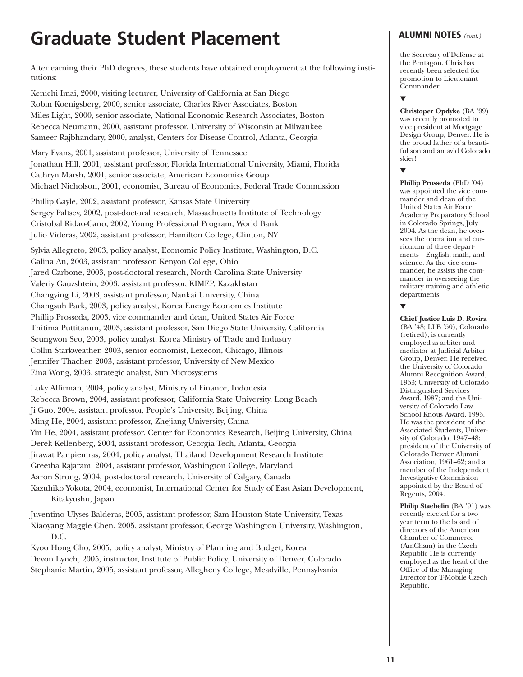# **Graduate Student Placement**

After earning their PhD degrees, these students have obtained employment at the following institutions:

Kenichi Imai, 2000, visiting lecturer, University of California at San Diego Robin Koenigsberg, 2000, senior associate, Charles River Associates, Boston Miles Light, 2000, senior associate, National Economic Research Associates, Boston Rebecca Neumann, 2000, assistant professor, University of Wisconsin at Milwaukee Sameer Rajbhandary, 2000, analyst, Centers for Disease Control, Atlanta, Georgia

Mary Evans, 2001, assistant professor, University of Tennessee Jonathan Hill, 2001, assistant professor, Florida International University, Miami, Florida Cathryn Marsh, 2001, senior associate, American Economics Group Michael Nicholson, 2001, economist, Bureau of Economics, Federal Trade Commission

Phillip Gayle, 2002, assistant professor, Kansas State University Sergey Paltsev, 2002, post-doctoral research, Massachusetts Institute of Technology Cristobal Ridao-Cano, 2002, Young Professional Program, World Bank Julio Videras, 2002, assistant professor, Hamilton College, Clinton, NY

Sylvia Allegreto, 2003, policy analyst, Economic Policy Institute, Washington, D.C. Galina An, 2003, assistant professor, Kenyon College, Ohio Jared Carbone, 2003, post-doctoral research, North Carolina State University Valeriy Gauzshtein, 2003, assistant professor, KIMEP, Kazakhstan Changying Li, 2003, assistant professor, Nankai University, China Changsuh Park, 2003, policy analyst, Korea Energy Economics Institute Phillip Prosseda, 2003, vice commander and dean, United States Air Force Thitima Puttitanun, 2003, assistant professor, San Diego State University, California Seungwon Seo, 2003, policy analyst, Korea Ministry of Trade and Industry Collin Starkweather, 2003, senior economist, Lexecon, Chicago, Illinois Jennifer Thacher, 2003, assistant professor, University of New Mexico Eina Wong, 2003, strategic analyst, Sun Microsystems

Luky Alfirman, 2004, policy analyst, Ministry of Finance, Indonesia Rebecca Brown, 2004, assistant professor, California State University, Long Beach Ji Guo, 2004, assistant professor, People's University, Beijing, China Ming He, 2004, assistant professor, Zhejiang University, China Yin He, 2004, assistant professor, Center for Economics Research, Beijing University, China Derek Kellenberg, 2004, assistant professor, Georgia Tech, Atlanta, Georgia Jirawat Panpiemras, 2004, policy analyst, Thailand Development Research Institute Greetha Rajaram, 2004, assistant professor, Washington College, Maryland Aaron Strong, 2004, post-doctoral research, University of Calgary, Canada Kazuhiko Yokota, 2004, economist, International Center for Study of East Asian Development, Kitakyushu, Japan

Juventino Ulyses Balderas, 2005, assistant professor, Sam Houston State University, Texas Xiaoyang Maggie Chen, 2005, assistant professor, George Washington University, Washington, D.C.

Kyoo Hong Cho, 2005, policy analyst, Ministry of Planning and Budget, Korea Devon Lynch, 2005, instructor, Institute of Public Policy, University of Denver, Colorado Stephanie Martin, 2005, assistant professor, Allegheny College, Meadville, Pennsylvania

# **ALUMNI NOTES** *(cont.)*

the Secretary of Defense at the Pentagon. Chris has recently been selected for promotion to Lieutenant Commander.

### ▼

**Christoper Opdyke** (BA '99) was recently promoted to vice president at Mortgage Design Group, Denver. He is the proud father of a beautiful son and an avid Colorado skier!

#### ▼

**Phillip Prosseda** (PhD '04) was appointed the vice commander and dean of the United States Air Force Academy Preparatory School in Colorado Springs, July 2004. As the dean, he oversees the operation and curriculum of three departments—English, math, and science. As the vice commander, he assists the commander in overseeing the military training and athletic departments.

### ▼

**Chief Justice Luis D. Rovira** (BA '48; LLB '50), Colorado (retired), is currently employed as arbiter and mediator at Judicial Arbiter Group, Denver. He received the University of Colorado Alumni Recognition Award, 1963; University of Colorado Distinguished Services Award, 1987; and the University of Colorado Law School Knous Award, 1993. He was the president of the Associated Students, University of Colorado, 1947–48; president of the University of Colorado Denver Alumni Association, 1961–62; and a member of the Independent Investigative Commission appointed by the Board of Regents, 2004.

**Philip Staehelin** (BA '91) was recently elected for a two year term to the board of directors of the American Chamber of Commerce (AmCham) in the Czech Republic He is currently employed as the head of the Office of the Managing Director for T-Mobile Czech Republic.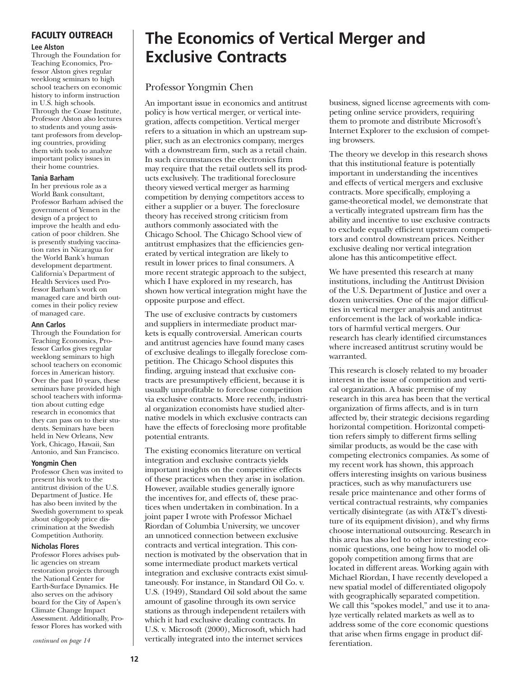### **FACULTY OUTREACH**

#### **Lee Alston**

Through the Foundation for Teaching Economics, Professor Alston gives regular weeklong seminars to high school teachers on economic history to inform instruction in U.S. high schools. Through the Coase Institute, Professor Alston also lectures to students and young assistant professors from developing countries, providing them with tools to analyze important policy issues in their home countries.

#### **Tania Barham**

In her previous role as a World Bank consultant, Professor Barham advised the government of Yemen in the design of a project to improve the health and education of poor children. She is presently studying vaccination rates in Nicaragua for the World Bank's human development department. California's Department of Health Services used Professor Barham's work on managed care and birth outcomes in their policy review of managed care.

#### **Ann Carlos**

Through the Foundation for Teaching Economics, Professor Carlos gives regular weeklong seminars to high school teachers on economic forces in American history. Over the past 10 years, these seminars have provided high school teachers with information about cutting edge research in economics that they can pass on to their students. Seminars have been held in New Orleans, New York, Chicago, Hawaii, San Antonio, and San Francisco.

#### **Yongmin Chen**

Professor Chen was invited to present his work to the antitrust division of the U.S. Department of Justice. He has also been invited by the Swedish government to speak about oligopoly price discrimination at the Swedish Competition Authority.

#### **Nicholas Flores**

Professor Flores advises public agencies on stream restoration projects through the National Center for Earth-Surface Dynamics. He also serves on the advisory board for the City of Aspen's Climate Change Impact Assessment. Additionally, Professor Flores has worked with

# **The Economics of Vertical Merger and Exclusive Contracts**

# Professor Yongmin Chen

An important issue in economics and antitrust policy is how vertical merger, or vertical integration, affects competition. Vertical merger refers to a situation in which an upstream supplier, such as an electronics company, merges with a downstream firm, such as a retail chain. In such circumstances the electronics firm may require that the retail outlets sell its products exclusively. The traditional foreclosure theory viewed vertical merger as harming competition by denying competitors access to either a supplier or a buyer. The foreclosure theory has received strong criticism from authors commonly associated with the Chicago School. The Chicago School view of antitrust emphasizes that the efficiencies generated by vertical integration are likely to result in lower prices to final consumers. A more recent strategic approach to the subject, which I have explored in my research, has shown how vertical integration might have the opposite purpose and effect.

The use of exclusive contracts by customers and suppliers in intermediate product markets is equally controversial. American courts and antitrust agencies have found many cases of exclusive dealings to illegally foreclose competition. The Chicago School disputes this finding, arguing instead that exclusive contracts are presumptively efficient, because it is usually unprofitable to foreclose competition via exclusive contracts. More recently, industrial organization economists have studied alternative models in which exclusive contracts can have the effects of foreclosing more profitable potential entrants.

The existing economics literature on vertical integration and exclusive contracts yields important insights on the competitive effects of these practices when they arise in isolation. However, available studies generally ignore the incentives for, and effects of, these practices when undertaken in combination. In a joint paper I wrote with Professor Michael Riordan of Columbia University, we uncover an unnoticed connection between exclusive contracts and vertical integration. This connection is motivated by the observation that in some intermediate product markets vertical integration and exclusive contracts exist simultaneously. For instance, in Standard Oil Co. v. U.S. (1949), Standard Oil sold about the same amount of gasoline through its own service stations as through independent retailers with which it had exclusive dealing contracts. In U.S. v. Microsoft (2000), Microsoft, which had vertically integrated into the internet services

business, signed license agreements with competing online service providers, requiring them to promote and distribute Microsoft's Internet Explorer to the exclusion of competing browsers.

The theory we develop in this research shows that this institutional feature is potentially important in understanding the incentives and effects of vertical mergers and exclusive contracts. More specifically, employing a game-theoretical model, we demonstrate that a vertically integrated upstream firm has the ability and incentive to use exclusive contracts to exclude equally efficient upstream competitors and control downstream prices. Neither exclusive dealing nor vertical integration alone has this anticompetitive effect.

We have presented this research at many institutions, including the Antitrust Division of the U.S. Department of Justice and over a dozen universities. One of the major difficulties in vertical merger analysis and antitrust enforcement is the lack of workable indicators of harmful vertical mergers. Our research has clearly identified circumstances where increased antitrust scrutiny would be warranted.

This research is closely related to my broader interest in the issue of competition and vertical organization. A basic premise of my research in this area has been that the vertical organization of firms affects, and is in turn affected by, their strategic decisions regarding horizontal competition. Horizontal competition refers simply to different firms selling similar products, as would be the case with competing electronics companies. As some of my recent work has shown, this approach offers interesting insights on various business practices, such as why manufacturers use resale price maintenance and other forms of vertical contractual restraints, why companies vertically disintegrate (as with AT&T's divestiture of its equipment division), and why firms choose international outsourcing. Research in this area has also led to other interesting economic questions, one being how to model oligopoly competition among firms that are located in different areas. Working again with Michael Riordan, I have recently developed a new spatial model of differentiated oligopoly with geographically separated competition. We call this "spokes model," and use it to analyze vertically related markets as well as to address some of the core economic questions that arise when firms engage in product differentiation.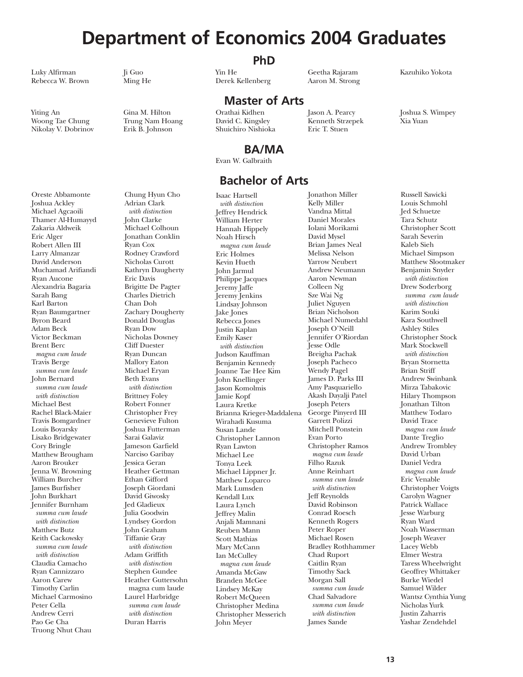# **Department of Economics 2004 Graduates**

Luky Alfirman Ji Guo Yin He Geetha Rajaram Kazuhiko Yokota Rebecca W. Brown Ming He Berek Kellenberg Aaron M. Strong

Nikolay V. Dobrinov

Oreste Abbamonte

Woong Tae Chung Trung Nam Hoang David C. Kingsley Kenneth Strzepek Xia Yuan

# **PhD**

**Master of Arts**

Yiting An Gina M. Hilton Orathai Kidhen Jason A. Pearcy Joshua S. Wimpey

# **BA/MA**

Evan W. Galbraith

# **Bachelor of Arts**

Joshua Ackley Michael Agcaoili Thamer Al-Humayyd Zakaria Aldweik Eric Alger Robert Allen III Larry Almanzar David Anderson Muchamad Arifiandi Ryan Aucone Alexandria Bagaria Sarah Bang Karl Barton Ryan Baumgartner Byron Beard Adam Beck Victor Beckman Brent Berc *magna cum laude* Travis Berge *summa cum laude* John Bernard *summa cum laude with distinction* Michael Best Rachel Black-Maier Travis Bomgardner Louis Boyarsky Lisako Bridgewater Cory Bringle Matthew Brougham Aaron Brouker Jenna W. Browning William Burcher James Burfisher John Burkhart Jennifer Burnham *summa cum laude with distinction* Matthew Butz Keith Cackowsky *summa cum laude with distinction* Claudia Camacho Ryan Cannizzaro Aaron Carew Timothy Carlin Michael Carmosino Peter Cella Andrew Cerri Pao Ge Cha Truong Nhut Chau

Chung Hyun Cho Adrian Clark *with distinction* John Clarke Michael Colhoun Jonathan Conklin Ryan Cox Rodney Crawford Nicholas Curott Kathryn Daugherty Eric Davis Brigitte De Pagter Charles Dietrich Chan Doh Zachary Dougherty Donald Douglas Ryan Dow Nicholas Downey Cliff Duester Ryan Duncan Mallory Eaton Michael Eryan Beth Evans *with distinction* Brittney Foley Robert Fonner Christopher Frey Genevieve Fulton Joshua Futterman Sarai Galaviz Jameson Garfield Narciso Garibay Jessica Geran Heather Gettman Ethan Gifford Joseph Giordani David Giwosky Jed Gladieux Julia Goodwin Lyndsey Gordon John Graham Tiffanie Gray *with distinction* Adam Griffith *with distinction* Stephen Gundee Heather Guttersohn magna cum laude Laurel Harbridge *summa cum laude with distinction* Duran Harris

Isaac Hartsell *with distinction* Jeffrey Hendrick William Herter Hannah Hippely Noah Hirsch *magna cum laude* Eric Holmes Kevin Hueth John Jarmul Philippe Jacques Jeremy Jaffe Jeremy Jenkins Lindsay Johnson Jake Jones Rebecca Jones Justin Kaplan Emily Kaser *with distinction* Judson Kauffman Benjamin Kennedy Joanne Tae Hee Kim John Knellinger Jason Komolmis Jamie Kopf Laura Kretke Brianna Krieger-Maddalena Wirahadi Kusuma Susan Lande Christopher Lannon Ryan Lawton Michael Lee Tonya Leek Michael Lippner Jr. Matthew Loparco Mark Lumsden Kendall Lux Laura Lynch Jeffrey Malin Anjali Mamnani Reuben Mann Scott Mathias Mary McCann Ian McCulley *magna cum laude* Amanda McGaw Branden McGee Lindsey McKay Robert McQueen Christopher Medina Christopher Messerich John Meyer

Jonathon Miller Kelly Miller Vandna Mittal Daniel Morales Iolani Morikami David Mysel Brian James Neal Melissa Nelson Yarrow Neubert Andrew Neumann Aaron Newman Colleen Ng Sze Wai Ng Juliet Nguyen Brian Nicholson Michael Numedahl Joseph O'Neill Jennifer O'Riordan Jesse Odle Breigha Pachak Joseph Pacheco Wendy Pagel James D. Parks III Amy Pasquariello Akash Dayalji Patel Joseph Peters George Pinyerd III Garrett Polizzi Mitchell Ponstein Evan Porto Christopher Ramos *magna cum laude* Filho Razuk Anne Reinhart *summa cum laude with distinction* Jeff Reynolds David Robinson Conrad Roesch Kenneth Rogers Peter Roper Michael Rosen Bradley Rothhammer Chad Ruport Caitlin Ryan Timothy Sack Morgan Sall *summa cum laude* Chad Salvadore *summa cum laude with distinction* James Sande

Russell Sawicki Louis Schmohl Jed Schuetze Tara Schutz Christopher Scott Sarah Severin Kaleb Sieh Michael Simpson Matthew Slootmaker Benjamin Snyder *with distinction* Drew Soderborg *summa cum laude with distinction* Karim Souki Kara Southwell Ashley Stiles Christopher Stock Mark Stockwell *with distinction* Bryan Stornetta Brian Striff Andrew Swinbank Mirza Tabakovic Hilary Thompson Jonathan Tilton Matthew Todaro David Trace *magna cum laude* Dante Treglio Andrew Trombley David Urban Daniel Vedra *magna cum laude* Eric Venable Christopher Voigts Carolyn Wagner Patrick Wallace Jesse Warburg Ryan Ward Noah Wasserman Joseph Weaver Lacey Webb Elmer Westra Taress Wheelwright Geoffrey Whittaker Burke Wiedel Samuel Wilder Wantsz Cynthia Yung Nicholas Yurk Justin Zaharris Yashar Zendehdel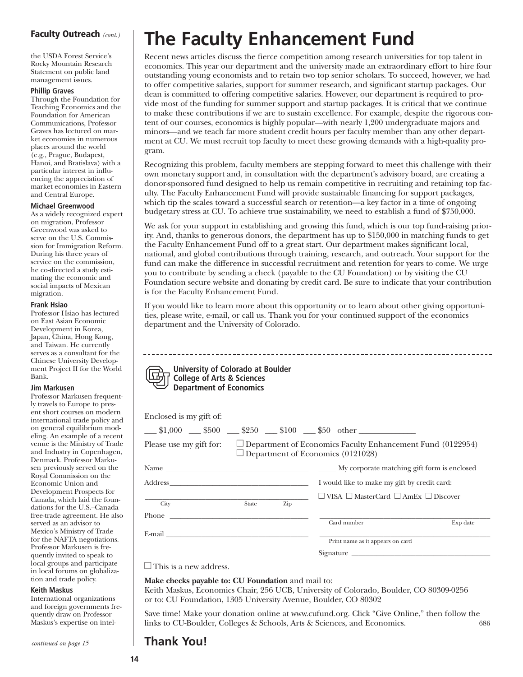# **Faculty Outreach** *(cont.)*

the USDA Forest Service's Rocky Mountain Research Statement on public land management issues.

#### **Phillip Graves**

Through the Foundation for Teaching Economics and the Foundation for American Communications, Professor Graves has lectured on market economies in numerous places around the world (e.g., Prague, Budapest, Hanoi, and Bratislava) with a particular interest in influencing the appreciation of market economies in Eastern and Central Europe.

#### **Michael Greenwood**

As a widely recognized expert on migration, Professor Greenwood was asked to serve on the U.S. Commission for Immigration Reform. During his three years of service on the commission, he co-directed a study estimating the economic and social impacts of Mexican migration.

#### **Frank Hsiao**

Professor Hsiao has lectured on East Asian Economic Development in Korea, Japan, China, Hong Kong, and Taiwan. He currently serves as a consultant for the Chinese University Development Project II for the World Bank.

#### **Jim Markusen**

Professor Markusen frequently travels to Europe to present short courses on modern international trade policy and on general equilibrium modeling. An example of a recent venue is the Ministry of Trade and Industry in Copenhagen, Denmark. Professor Markusen previously served on the Royal Commission on the Economic Union and Development Prospects for Canada, which laid the foundations for the U.S.–Canada free-trade agreement. He also served as an advisor to Mexico's Ministry of Trade for the NAFTA negotiations. Professor Markusen is frequently invited to speak to local groups and participate in local forums on globalization and trade policy.

#### **Keith Maskus**

International organizations and foreign governments frequently draw on Professor Maskus's expertise on intel-

*continued on page 15*

# **The Faculty Enhancement Fund**

Recent news articles discuss the fierce competition among research universities for top talent in economics. This year our department and the university made an extraordinary effort to hire four outstanding young economists and to retain two top senior scholars. To succeed, however, we had to offer competitive salaries, support for summer research, and significant startup packages. Our dean is committed to offering competitive salaries. However, our department is required to provide most of the funding for summer support and startup packages. It is critical that we continue to make these contributions if we are to sustain excellence. For example, despite the rigorous content of our courses, economics is highly popular—with nearly 1,200 undergraduate majors and minors—and we teach far more student credit hours per faculty member than any other department at CU. We must recruit top faculty to meet these growing demands with a high-quality program.

Recognizing this problem, faculty members are stepping forward to meet this challenge with their own monetary support and, in consultation with the department's advisory board, are creating a donor-sponsored fund designed to help us remain competitive in recruiting and retaining top faculty. The Faculty Enhancement Fund will provide sustainable financing for support packages, which tip the scales toward a successful search or retention—a key factor in a time of ongoing budgetary stress at CU. To achieve true sustainability, we need to establish a fund of \$750,000.

We ask for your support in establishing and growing this fund, which is our top fund-raising priority. And, thanks to generous donors, the department has up to \$150,000 in matching funds to get the Faculty Enhancement Fund off to a great start. Our department makes significant local, national, and global contributions through training, research, and outreach. Your support for the fund can make the difference in successful recruitment and retention for years to come. We urge you to contribute by sending a check (payable to the CU Foundation) or by visiting the CU Foundation secure website and donating by credit card. Be sure to indicate that your contribution is for the Faculty Enhancement Fund.

If you would like to learn more about this opportunity or to learn about other giving opportunities, please write, e-mail, or call us. Thank you for your continued support of the economics department and the University of Colorado.

| Enclosed is my gift of:                                                                                                                                                                                                        |       |     |                                                                                               |          |  |  |  |
|--------------------------------------------------------------------------------------------------------------------------------------------------------------------------------------------------------------------------------|-------|-----|-----------------------------------------------------------------------------------------------|----------|--|--|--|
|                                                                                                                                                                                                                                |       |     | $\frac{\$1,000}{\$500}$ $\frac{\$500}{\$250}$ $\frac{\$100}{\$100}$ $\frac{\$50}{\$50}$ other |          |  |  |  |
| Please use my gift for:<br>$\Box$ Department of Economics Faculty Enhancement Fund (0122954)<br>$\Box$ Department of Economics (0121028)                                                                                       |       |     |                                                                                               |          |  |  |  |
|                                                                                                                                                                                                                                |       |     |                                                                                               |          |  |  |  |
| Address and the state of the state of the state of the state of the state of the state of the state of the state of the state of the state of the state of the state of the state of the state of the state of the state of th |       |     | I would like to make my gift by credit card:                                                  |          |  |  |  |
|                                                                                                                                                                                                                                |       |     | $\Box$ VISA $\Box$ MasterCard $\Box$ AmEx $\Box$ Discover                                     |          |  |  |  |
| City<br>Phone                                                                                                                                                                                                                  | State | Zip |                                                                                               |          |  |  |  |
|                                                                                                                                                                                                                                |       |     | Card number                                                                                   | Exp date |  |  |  |
| E-mail and the contract of the contract of the contract of the contract of the contract of the contract of the contract of the contract of the contract of the contract of the contract of the contract of the contract of the |       |     | Print name as it appears on card                                                              |          |  |  |  |
|                                                                                                                                                                                                                                |       |     | Signature                                                                                     |          |  |  |  |

 $\Box$  This is a new address.

**Make checks payable to: CU Foundation** and mail to:

Keith Maskus, Economics Chair, 256 UCB, University of Colorado, Boulder, CO 80309-0256 or to: CU Foundation, 1305 University Avenue, Boulder, CO 80302

Save time! Make your donation online at www.cufund.org. Click "Give Online," then follow the links to CU-Boulder, Colleges & Schools, Arts & Sciences, and Economics. 686

# **Thank You!**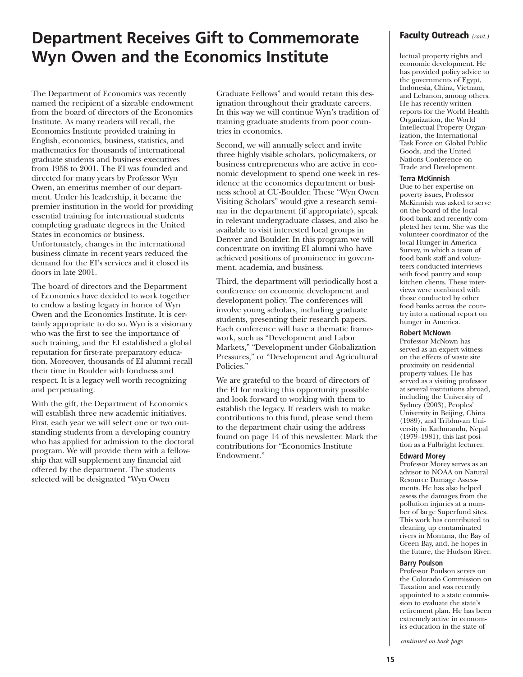# **Department Receives Gift to Commemorate Wyn Owen and the Economics Institute**

The Department of Economics was recently named the recipient of a sizeable endowment from the board of directors of the Economics Institute. As many readers will recall, the Economics Institute provided training in English, economics, business, statistics, and mathematics for thousands of international graduate students and business executives from 1958 to 2001. The EI was founded and directed for many years by Professor Wyn Owen, an emeritus member of our department. Under his leadership, it became the premier institution in the world for providing essential training for international students completing graduate degrees in the United States in economics or business. Unfortunately, changes in the international

business climate in recent years reduced the demand for the EI's services and it closed its doors in late 2001.

The board of directors and the Department of Economics have decided to work together to endow a lasting legacy in honor of Wyn Owen and the Economics Institute. It is certainly appropriate to do so. Wyn is a visionary who was the first to see the importance of such training, and the EI established a global reputation for first-rate preparatory education. Moreover, thousands of EI alumni recall their time in Boulder with fondness and respect. It is a legacy well worth recognizing and perpetuating.

With the gift, the Department of Economics will establish three new academic initiatives. First, each year we will select one or two outstanding students from a developing country who has applied for admission to the doctoral program. We will provide them with a fellowship that will supplement any financial aid offered by the department. The students selected will be designated "Wyn Owen

Graduate Fellows" and would retain this designation throughout their graduate careers. In this way we will continue Wyn's tradition of training graduate students from poor countries in economics.

Second, we will annually select and invite three highly visible scholars, policymakers, or business entrepreneurs who are active in economic development to spend one week in residence at the economics department or business school at CU-Boulder. These "Wyn Owen Visiting Scholars" would give a research seminar in the department (if appropriate), speak in relevant undergraduate classes, and also be available to visit interested local groups in Denver and Boulder. In this program we will concentrate on inviting EI alumni who have achieved positions of prominence in government, academia, and business.

Third, the department will periodically host a conference on economic development and development policy. The conferences will involve young scholars, including graduate students, presenting their research papers. Each conference will have a thematic framework, such as "Development and Labor Markets," "Development under Globalization Pressures," or "Development and Agricultural Policies."

We are grateful to the board of directors of the EI for making this opportunity possible and look forward to working with them to establish the legacy. If readers wish to make contributions to this fund, please send them to the department chair using the address found on page 14 of this newsletter. Mark the contributions for "Economics Institute Endowment."

## **Faculty Outreach** *(cont.)*

lectual property rights and economic development. He has provided policy advice to the governments of Egypt, Indonesia, China, Vietnam, and Lebanon, among others. He has recently written reports for the World Health Organization, the World Intellectual Property Organization, the International Task Force on Global Public Goods, and the United Nations Conference on Trade and Development.

#### **Terra McKinnish**

Due to her expertise on poverty issues, Professor McKinnish was asked to serve on the board of the local food bank and recently completed her term. She was the volunteer coordinator of the local Hunger in America Survey, in which a team of food bank staff and volunteers conducted interviews with food pantry and soup kitchen clients. These interviews were combined with those conducted by other food banks across the country into a national report on hunger in America.

#### **Robert McNown**

Professor McNown has served as an expert witness on the effects of waste site proximity on residential property values. He has served as a visiting professor at several institutions abroad, including the University of Sydney (2003), Peoples' University in Beijing, China (1989), and Tribhuvan University in Kathmandu, Nepal (1979–1981), this last position as a Fulbright lecturer.

#### **Edward Morey**

Professor Morey serves as an advisor to NOAA on Natural Resource Damage Assessments. He has also helped assess the damages from the pollution injuries at a number of large Superfund sites. This work has contributed to cleaning up contaminated rivers in Montana, the Bay of Green Bay, and, he hopes in the future, the Hudson River.

#### **Barry Poulson**

Professor Poulson serves on the Colorado Commission on Taxation and was recently appointed to a state commission to evaluate the state's retirement plan. He has been extremely active in economics education in the state of

*continued on back page*